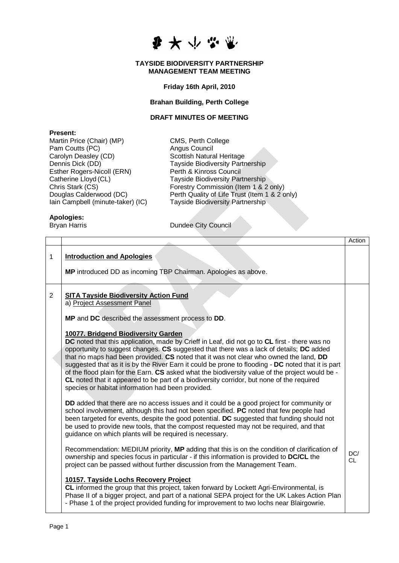

#### **TAYSIDE BIODIVERSITY PARTNERSHIP MANAGEMENT TEAM MEETING**

**Friday 16th April, 2010**

## **Brahan Building, Perth College**

#### **DRAFT MINUTES OF MEETING**

### **Present:**

Martin Price (Chair) (MP) CMS, Perth College Pam Coutts (PC) and Angus Council Carolyn Deasley (CD) Scottish Natural Heritage Esther Rogers-Nicoll (ERN)<br>Catherine Lloyd (CL)

Dennis Dick (DD) Tayside Biodiversity Partnership<br>Esther Rogers-Nicoll (ERN) Perth & Kinross Council Catherine Lloyd (CL)<br>
Chris Stark (CS)<br>
Chris Stark (CS)<br>
Torestry Commission (Item 1 & 2 Chris Stark (CS)  $\overrightarrow{C}$  Forestry Commission (Item 1 & 2 only)<br>Douglas Calderwood (DC) Perth Quality of Life Trust (Item 1 & 2 o Douglas Calderwood (DC) <br>
lain Campbell (minute-taker) (IC) Tayside Biodiversity Partnership Tayside Biodiversity Partnership

# **Apologies:**

Bryan Harris **Dundee City Council** 

|                |                                                                                                                                                                                                                                                                                                                                                                                                                                                                                                                                                                                                                                                                                     | Action           |
|----------------|-------------------------------------------------------------------------------------------------------------------------------------------------------------------------------------------------------------------------------------------------------------------------------------------------------------------------------------------------------------------------------------------------------------------------------------------------------------------------------------------------------------------------------------------------------------------------------------------------------------------------------------------------------------------------------------|------------------|
| 1              | <b>Introduction and Apologies</b><br>MP introduced DD as incoming TBP Chairman. Apologies as above.                                                                                                                                                                                                                                                                                                                                                                                                                                                                                                                                                                                 |                  |
| $\overline{2}$ | <b>SITA Tayside Biodiversity Action Fund</b><br>a) Project Assessment Panel<br>MP and DC described the assessment process to DD.                                                                                                                                                                                                                                                                                                                                                                                                                                                                                                                                                    |                  |
|                | 10077. Bridgend Biodiversity Garden<br>DC noted that this application, made by Crieff in Leaf, did not go to CL first - there was no<br>opportunity to suggest changes. CS suggested that there was a lack of details; DC added<br>that no maps had been provided. CS noted that it was not clear who owned the land, DD<br>suggested that as it is by the River Earn it could be prone to flooding - DC noted that it is part<br>of the flood plain for the Earn. CS asked what the biodiversity value of the project would be -<br>CL noted that it appeared to be part of a biodiversity corridor, but none of the required<br>species or habitat information had been provided. |                  |
|                | DD added that there are no access issues and it could be a good project for community or<br>school involvement, although this had not been specified. PC noted that few people had<br>been targeted for events, despite the good potential. DC suggested that funding should not<br>be used to provide new tools, that the compost requested may not be required, and that<br>guidance on which plants will be required is necessary.                                                                                                                                                                                                                                               |                  |
|                | Recommendation: MEDIUM priority, MP adding that this is on the condition of clarification of<br>ownership and species focus in particular - if this information is provided to DC/CL the<br>project can be passed without further discussion from the Management Team.                                                                                                                                                                                                                                                                                                                                                                                                              | DC/<br><b>CL</b> |
|                | 10157. Tayside Lochs Recovery Project<br>CL informed the group that this project, taken forward by Lockett Agri-Environmental, is<br>Phase II of a bigger project, and part of a national SEPA project for the UK Lakes Action Plan<br>- Phase 1 of the project provided funding for improvement to two lochs near Blairgowrie.                                                                                                                                                                                                                                                                                                                                                     |                  |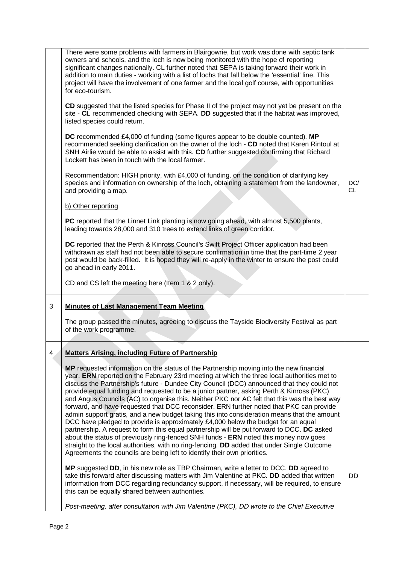|   | There were some problems with farmers in Blairgowrie, but work was done with septic tank<br>owners and schools, and the loch is now being monitored with the hope of reporting<br>significant changes nationally. CL further noted that SEPA is taking forward their work in<br>addition to main duties - working with a list of lochs that fall below the 'essential' line. This<br>project will have the involvement of one farmer and the local golf course, with opportunities<br>for eco-tourism.<br>CD suggested that the listed species for Phase II of the project may not yet be present on the<br>site - CL recommended checking with SEPA. DD suggested that if the habitat was improved,<br>listed species could return.<br>DC recommended £4,000 of funding (some figures appear to be double counted). MP<br>recommended seeking clarification on the owner of the loch - CD noted that Karen Rintoul at<br>SNH Airlie would be able to assist with this. CD further suggested confirming that Richard<br>Lockett has been in touch with the local farmer.<br>Recommendation: HIGH priority, with £4,000 of funding, on the condition of clarifying key<br>species and information on ownership of the loch, obtaining a statement from the landowner,<br>and providing a map.<br>b) Other reporting<br>PC reported that the Linnet Link planting is now going ahead, with almost 5,500 plants,<br>leading towards 28,000 and 310 trees to extend links of green corridor.<br>DC reported that the Perth & Kinross Council's Swift Project Officer application had been<br>withdrawn as staff had not been able to secure confirmation in time that the part-time 2 year<br>post would be back-filled. It is hoped they will re-apply in the winter to ensure the post could<br>go ahead in early 2011.<br>CD and CS left the meeting here (Item 1 & 2 only). | DC/<br><b>CL</b> |
|---|-----------------------------------------------------------------------------------------------------------------------------------------------------------------------------------------------------------------------------------------------------------------------------------------------------------------------------------------------------------------------------------------------------------------------------------------------------------------------------------------------------------------------------------------------------------------------------------------------------------------------------------------------------------------------------------------------------------------------------------------------------------------------------------------------------------------------------------------------------------------------------------------------------------------------------------------------------------------------------------------------------------------------------------------------------------------------------------------------------------------------------------------------------------------------------------------------------------------------------------------------------------------------------------------------------------------------------------------------------------------------------------------------------------------------------------------------------------------------------------------------------------------------------------------------------------------------------------------------------------------------------------------------------------------------------------------------------------------------------------------------------------------------------------------------------------------------------------------------------------------------------|------------------|
| 3 | <b>Minutes of Last Management Team Meeting</b><br>The group passed the minutes, agreeing to discuss the Tayside Biodiversity Festival as part<br>of the work programme.                                                                                                                                                                                                                                                                                                                                                                                                                                                                                                                                                                                                                                                                                                                                                                                                                                                                                                                                                                                                                                                                                                                                                                                                                                                                                                                                                                                                                                                                                                                                                                                                                                                                                                     |                  |
| 4 | <b>Matters Arising, including Future of Partnership</b><br>MP requested information on the status of the Partnership moving into the new financial<br>year. ERN reported on the February 23rd meeting at which the three local authorities met to<br>discuss the Partnership's future - Dundee City Council (DCC) announced that they could not<br>provide equal funding and requested to be a junior partner, asking Perth & Kinross (PKC)<br>and Angus Councils (AC) to organise this. Neither PKC nor AC felt that this was the best way<br>forward, and have requested that DCC reconsider. ERN further noted that PKC can provide<br>admin support gratis, and a new budget taking this into consideration means that the amount<br>DCC have pledged to provide is approximately £4,000 below the budget for an equal<br>partnership. A request to form this equal partnership will be put forward to DCC. DC asked<br>about the status of previously ring-fenced SNH funds - ERN noted this money now goes<br>straight to the local authorities, with no ring-fencing. DD added that under Single Outcome<br>Agreements the councils are being left to identify their own priorities.<br>MP suggested DD, in his new role as TBP Chairman, write a letter to DCC. DD agreed to<br>take this forward after discussing matters with Jim Valentine at PKC. DD added that written<br>information from DCC regarding redundancy support, if necessary, will be required, to ensure<br>this can be equally shared between authorities.<br>Post-meeting, after consultation with Jim Valentine (PKC), DD wrote to the Chief Executive                                                                                                                                                                                                                                        | DD               |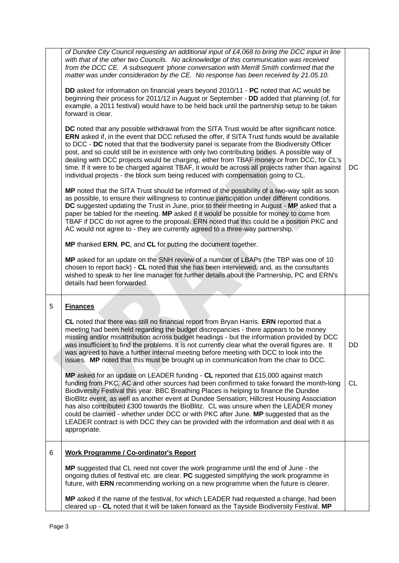|   | of Dundee City Council requesting an additional input of £4,068 to bring the DCC input in line<br>with that of the other two Councils. No acknowledge of this communication was received<br>from the DCC CE. A subsequent 'phone conversation with Merrill Smith confirmed that the<br>matter was under consideration by the CE. No response has been received by 21.05.10.                                                                                                                                                                                                                                                                                                         |           |
|---|-------------------------------------------------------------------------------------------------------------------------------------------------------------------------------------------------------------------------------------------------------------------------------------------------------------------------------------------------------------------------------------------------------------------------------------------------------------------------------------------------------------------------------------------------------------------------------------------------------------------------------------------------------------------------------------|-----------|
|   | DD asked for information on financial years beyond 2010/11 - PC noted that AC would be<br>beginning their process for 2011/12 in August or September - DD added that planning (of, for<br>example, a 2011 festival) would have to be held back until the partnership setup to be taken<br>forward is clear.                                                                                                                                                                                                                                                                                                                                                                         |           |
|   | DC noted that any possible withdrawal from the SITA Trust would be after significant notice.<br>ERN asked if, in the event that DCC refused the offer, if SITA Trust funds would be available<br>to DCC - DC noted that that the biodiversity panel is separate from the Biodiversity Officer<br>post, and so could still be in existence with only two contributing bodies. A possible way of<br>dealing with DCC projects would be charging, either from TBAF money or from DCC, for CL's<br>time. If it were to be charged against TBAF, it would be across all projects rather than against<br>individual projects - the block sum being reduced with compensation going to CL. | DC        |
|   | MP noted that the SITA Trust should be informed of the possibility of a two-way split as soon<br>as possible, to ensure their willingness to continue participation under different conditions.<br>DC suggested updating the Trust in June, prior to their meeting in August - MP asked that a<br>paper be tabled for the meeting. MP asked if it would be possible for money to come from<br>TBAF if DCC do not agree to the proposal. ERN noted that this could be a position PKC and<br>AC would not agree to - they are currently agreed to a three-way partnership.                                                                                                            |           |
|   | MP thanked ERN, PC, and CL for putting the document together.                                                                                                                                                                                                                                                                                                                                                                                                                                                                                                                                                                                                                       |           |
|   | MP asked for an update on the SNH review of a number of LBAPs (the TBP was one of 10<br>chosen to report back) - CL noted that she has been interviewed, and, as the consultants<br>wished to speak to her line manager for further details about the Partnership, PC and ERN's<br>details had been forwarded.                                                                                                                                                                                                                                                                                                                                                                      |           |
| 5 | <b>Finances</b>                                                                                                                                                                                                                                                                                                                                                                                                                                                                                                                                                                                                                                                                     |           |
|   | CL noted that there was still no financial report from Bryan Harris. ERN reported that a<br>meeting had been held regarding the budget discrepancies - there appears to be money<br>missing and/or misattribution across budget headings - but the information provided by DCC<br>was insufficient to find the problems. It is not currently clear what the overall figures are. It<br>was agreed to have a further internal meeting before meeting with DCC to look into the<br>issues. MP noted that this must be brought up in communication from the chair to DCC.                                                                                                              | DD        |
|   | MP asked for an update on LEADER funding - CL reported that £15,000 against match<br>funding from PKC, AC and other sources had been confirmed to take forward the month-long<br>Biodiversity Festival this year. BBC Breathing Places is helping to finance the Dundee<br>BioBlitz event, as well as another event at Dundee Sensation; Hillcrest Housing Association<br>has also contributed £300 towards the BioBlitz. CL was unsure when the LEADER money<br>could be claimed - whether under DCC or with PKC after June. MP suggested that as the<br>LEADER contract is with DCC they can be provided with the information and deal with it as<br>appropriate.                 | <b>CL</b> |
| 6 | <b>Work Programme / Co-ordinator's Report</b>                                                                                                                                                                                                                                                                                                                                                                                                                                                                                                                                                                                                                                       |           |
|   |                                                                                                                                                                                                                                                                                                                                                                                                                                                                                                                                                                                                                                                                                     |           |
|   | MP suggested that CL need not cover the work programme until the end of June - the<br>ongoing duties of festival etc. are clear. PC suggested simplifying the work programme in<br>future, with ERN recommending working on a new programme when the future is clearer.                                                                                                                                                                                                                                                                                                                                                                                                             |           |